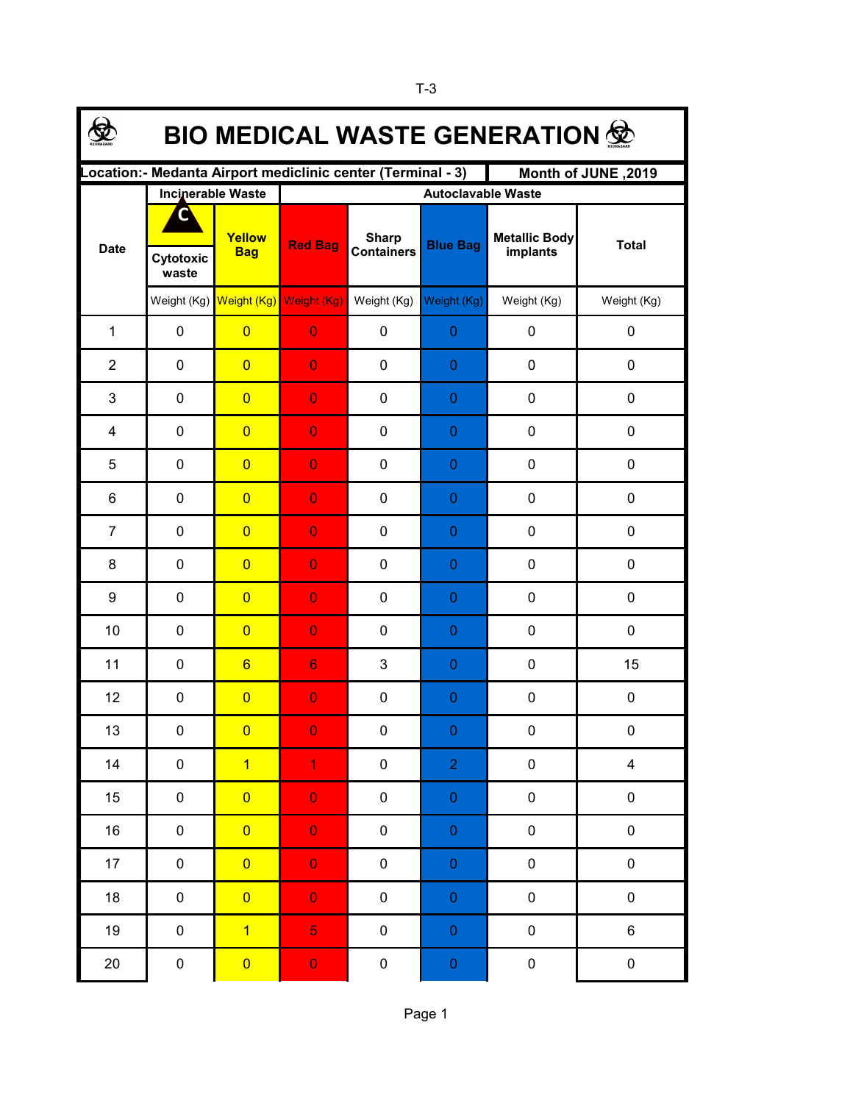| <b>BIO MEDICAL WASTE GENERATION 佥</b>                                              |             |                                     |                           |                                   |                  |                                  |                         |  |  |  |  |  |
|------------------------------------------------------------------------------------|-------------|-------------------------------------|---------------------------|-----------------------------------|------------------|----------------------------------|-------------------------|--|--|--|--|--|
| Location:- Medanta Airport mediclinic center (Terminal - 3)<br>Month of JUNE, 2019 |             |                                     |                           |                                   |                  |                                  |                         |  |  |  |  |  |
|                                                                                    |             | <b>Incinerable Waste</b>            | <b>Autoclavable Waste</b> |                                   |                  |                                  |                         |  |  |  |  |  |
| <b>Date</b>                                                                        | Cytotoxic   | Yellow<br><b>Bag</b>                | <b>Red Bag</b>            | <b>Sharp</b><br><b>Containers</b> | <b>Blue Bag</b>  | <b>Metallic Body</b><br>implants | <b>Total</b>            |  |  |  |  |  |
|                                                                                    | waste       |                                     |                           |                                   |                  |                                  |                         |  |  |  |  |  |
|                                                                                    |             | Weight (Kg) Weight (Kg) Weight (Kg) |                           | Weight (Kg)                       | Weight (Kg)      | Weight (Kg)                      | Weight (Kg)             |  |  |  |  |  |
| $\mathbf{1}$                                                                       | $\pmb{0}$   | $\overline{0}$                      | $\overline{0}$            | 0                                 | $\boldsymbol{0}$ | 0                                | $\pmb{0}$               |  |  |  |  |  |
| $\overline{2}$                                                                     | $\pmb{0}$   | $\overline{0}$                      | $\overline{0}$            | 0                                 | $\boldsymbol{0}$ | 0                                | $\pmb{0}$               |  |  |  |  |  |
| 3                                                                                  | $\pmb{0}$   | $\overline{0}$                      | $\overline{0}$            | 0                                 | $\pmb{0}$        | 0                                | $\pmb{0}$               |  |  |  |  |  |
| 4                                                                                  | $\pmb{0}$   | $\overline{0}$                      | $\overline{0}$            | 0                                 | $\pmb{0}$        | 0                                | $\pmb{0}$               |  |  |  |  |  |
| 5                                                                                  | $\mathbf 0$ | $\overline{0}$                      | $\overline{0}$            | 0                                 | $\mathbf 0$      | 0                                | 0                       |  |  |  |  |  |
| 6                                                                                  | $\mathbf 0$ | $\overline{0}$                      | $\overline{0}$            | 0                                 | $\mathbf 0$      | 0                                | 0                       |  |  |  |  |  |
| $\overline{7}$                                                                     | $\mathbf 0$ | $\overline{0}$                      | $\overline{0}$            | 0                                 | $\theta$         | 0                                | 0                       |  |  |  |  |  |
| 8                                                                                  | 0           | $\overline{0}$                      | $\overline{0}$            | 0                                 | $\theta$         | 0                                | 0                       |  |  |  |  |  |
| 9                                                                                  | $\mathbf 0$ | $\overline{0}$                      | $\overline{0}$            | 0                                 | $\theta$         | 0                                | 0                       |  |  |  |  |  |
| 10                                                                                 | $\mathbf 0$ | $\overline{0}$                      | $\overline{0}$            | 0                                 | $\theta$         | 0                                | 0                       |  |  |  |  |  |
| 11                                                                                 | 0           | $6\overline{6}$                     | $6\phantom{1}$            | 3                                 | $\theta$         | 0                                | 15                      |  |  |  |  |  |
| 12                                                                                 | $\pmb{0}$   | $\overline{0}$                      | $\overline{0}$            | 0                                 | $\mathbf{0}$     | 0                                | 0                       |  |  |  |  |  |
| 13                                                                                 | 0           | $\overline{0}$                      | $\overline{0}$            | 0                                 | $\Omega$         | 0                                | 0                       |  |  |  |  |  |
| 14                                                                                 | $\pmb{0}$   | $\overline{1}$                      | $\mathbf{1}$              | $\pmb{0}$                         | $\overline{2}$   | $\pmb{0}$                        | $\overline{\mathbf{4}}$ |  |  |  |  |  |
| 15                                                                                 | $\pmb{0}$   | $\overline{0}$                      | $\mathbf 0$               | $\pmb{0}$                         | $\pmb{0}$        | $\pmb{0}$                        | $\pmb{0}$               |  |  |  |  |  |
| 16                                                                                 | 0           | $\overline{0}$                      | $\mathbf 0$               | $\pmb{0}$                         | $\pmb{0}$        | $\pmb{0}$                        | $\pmb{0}$               |  |  |  |  |  |
| $17 \,$                                                                            | 0           | $\overline{0}$                      | $\mathbf 0$               | $\pmb{0}$                         | $\pmb{0}$        | $\pmb{0}$                        | $\pmb{0}$               |  |  |  |  |  |
| 18                                                                                 | 0           | $\overline{0}$                      | $\mathbf 0$               | $\pmb{0}$                         | $\pmb{0}$        | $\pmb{0}$                        | $\pmb{0}$               |  |  |  |  |  |
| 19                                                                                 | $\pmb{0}$   | $\overline{1}$                      | $\overline{5}$            | $\pmb{0}$                         | $\pmb{0}$        | $\pmb{0}$                        | 6                       |  |  |  |  |  |
| 20                                                                                 | $\pmb{0}$   | $\overline{\mathbf{0}}$             | $\mathbf 0$               | $\pmb{0}$                         | $\mathbf{0}$     | $\pmb{0}$                        | $\pmb{0}$               |  |  |  |  |  |